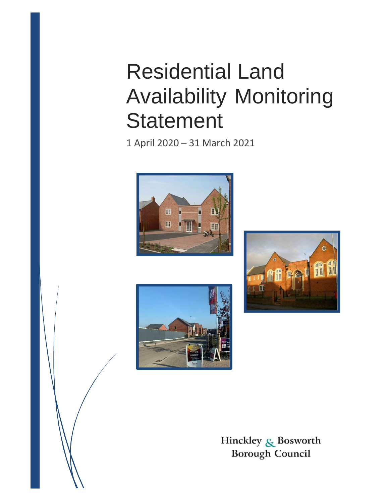# Residential Land Availability Monitoring **Statement**

1 April 2020 – 31 March 2021







Hinckley & Bosworth **Borough Council**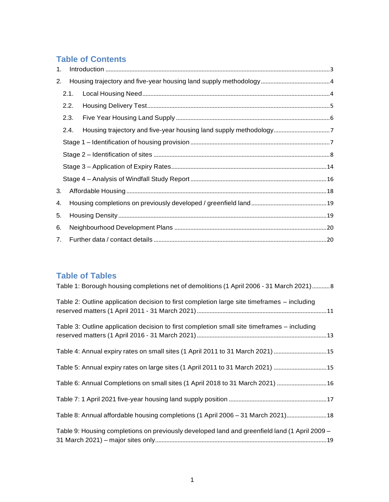# **Table of Contents**

| 1. |      |  |  |  |  |  |
|----|------|--|--|--|--|--|
| 2. |      |  |  |  |  |  |
|    | 2.1. |  |  |  |  |  |
|    | 2.2. |  |  |  |  |  |
|    | 2.3. |  |  |  |  |  |
|    | 2.4. |  |  |  |  |  |
|    |      |  |  |  |  |  |
|    |      |  |  |  |  |  |
|    |      |  |  |  |  |  |
|    |      |  |  |  |  |  |
| 3. |      |  |  |  |  |  |
| 4. |      |  |  |  |  |  |
| 5. |      |  |  |  |  |  |
| 6. |      |  |  |  |  |  |
| 7. |      |  |  |  |  |  |

## **Table of Tables**

| Table 1: Borough housing completions net of demolitions (1 April 2006 - 31 March 2021)8       |
|-----------------------------------------------------------------------------------------------|
| Table 2: Outline application decision to first completion large site timeframes – including   |
| Table 3: Outline application decision to first completion small site timeframes – including   |
| Table 4: Annual expiry rates on small sites (1 April 2011 to 31 March 2021) 15                |
| Table 5: Annual expiry rates on large sites (1 April 2011 to 31 March 2021) 15                |
| Table 6: Annual Completions on small sites (1 April 2018 to 31 March 2021) 16                 |
|                                                                                               |
| Table 8: Annual affordable housing completions (1 April 2006 - 31 March 2021) 18              |
| Table 9: Housing completions on previously developed land and greenfield land (1 April 2009 – |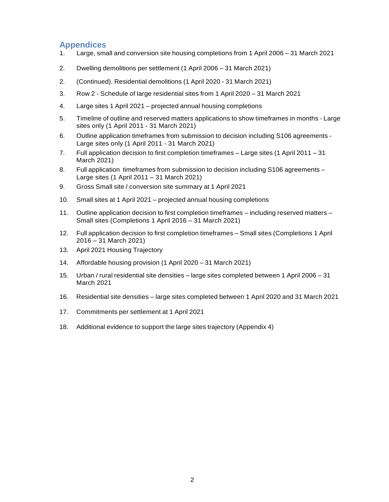## **Appendices**

- 1. Large, small and conversion site housing completions from 1 April 2006 31 March 2021
- 2. Dwelling demolitions per settlement (1 April 2006 31 March 2021)
- 2. (Continued). Residential demolitions (1 April 2020 31 March 2021)
- 3. Row 2 Schedule of large residential sites from 1 April 2020 31 March 2021
- 4. Large sites 1 April 2021 projected annual housing completions
- 5. Timeline of outline and reserved matters applications to show timeframes in months Large sites only (1 April 2011 - 31 March 2021)
- 6. Outline application timeframes from submission to decision including S106 agreements Large sites only (1 April 2011 - 31 March 2021)
- 7. Full application decision to first completion timeframes Large sites (1 April 2011 31 March 2021)
- 8. Full application timeframes from submission to decision including S106 agreements Large sites (1 April 2011 – 31 March 2021)
- 9. Gross Small site / conversion site summary at 1 April 2021
- 10. Small sites at 1 April 2021 projected annual housing completions
- 11. Outline application decision to first completion timeframes including reserved matters Small sites (Completions 1 April 2016 – 31 March 2021)
- 12. Full application decision to first completion timeframes Small sites (Completions 1 April 2016 – 31 March 2021)
- 13. April 2021 Housing Trajectory
- 14. Affordable housing provision (1 April 2020 31 March 2021)
- 15. Urban / rural residential site densities large sites completed between 1 April 2006 31 March 2021
- 16. Residential site densities large sites completed between 1 April 2020 and 31 March 2021
- 17. Commitments per settlement at 1 April 2021
- 18. Additional evidence to support the large sites trajectory (Appendix 4)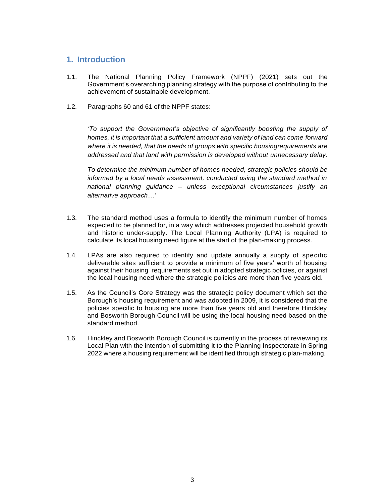## <span id="page-3-0"></span>**1. Introduction**

- 1.1. The National Planning Policy Framework (NPPF) (2021) sets out the Government's overarching planning strategy with the purpose of contributing to the achievement of sustainable development.
- 1.2. Paragraphs 60 and 61 of the NPPF states:

*'To support the Government's objective of significantly boosting the supply of homes, it is important that a sufficient amount and variety of land can come forward where it is needed, that the needs of groups with specific housingrequirements are addressed and that land with permission is developed without unnecessary delay.*

*To determine the minimum number of homes needed, strategic policies should be informed by a local needs assessment, conducted using the standard method in national planning guidance – unless exceptional circumstances justify an alternative approach…'*

- 1.3. The standard method uses a formula to identify the minimum number of homes expected to be planned for, in a way which addresses projected household growth and historic under-supply. The Local Planning Authority (LPA) is required to calculate its local housing need figure at the start of the plan-making process.
- 1.4. LPAs are also required to identify and update annually a supply of specific deliverable sites sufficient to provide a minimum of five years' worth of housing against their housing requirements set out in adopted strategic policies, or against the local housing need where the strategic policies are more than five years old.
- 1.5. As the Council's Core Strategy was the strategic policy document which set the Borough's housing requirement and was adopted in 2009, it is considered that the policies specific to housing are more than five years old and therefore Hinckley and Bosworth Borough Council will be using the local housing need based on the standard method.
- 1.6. Hinckley and Bosworth Borough Council is currently in the process of reviewing its Local Plan with the intention of submitting it to the Planning Inspectorate in Spring 2022 where a housing requirement will be identified through strategic plan-making.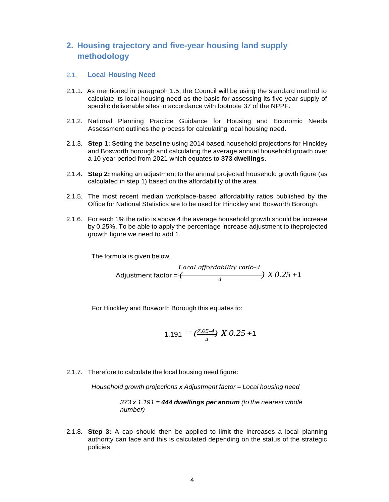## <span id="page-4-0"></span>**2. Housing trajectory and five-year housing land supply methodology**

#### <span id="page-4-1"></span>2.1. **Local Housing Need**

- 2.1.1. As mentioned in paragraph 1.5, the Council will be using the standard method to calculate its local housing need as the basis for assessing its five year supply of specific deliverable sites in accordance with footnote 37 of the NPPF.
- 2.1.2. National Planning Practice Guidance for Housing and Economic Needs Assessment outlines the process for calculating local housing need.
- 2.1.3. **Step 1:** Setting the baseline using 2014 based household projections for Hinckley and Bosworth borough and calculating the average annual household growth over a 10 year period from 2021 which equates to **373 dwellings**.
- 2.1.4. **Step 2:** making an adjustment to the annual projected household growth figure (as calculated in step 1) based on the affordability of the area.
- 2.1.5. The most recent median workplace-based affordability ratios published by the Office for National Statistics are to be used for Hinckley and Bosworth Borough.
- 2.1.6. For each 1% the ratio is above 4 the average household growth should be increase by 0.25%. To be able to apply the percentage increase adjustment to theprojected growth figure we need to add 1.

The formula is given below.

$$
Local\text{ adjus} (25)
$$
\n
$$
Acoll\text{ adjus} (25)
$$
\n
$$
A \text{ adjus} (25)
$$
\n
$$
A \text{ adjus} (25)
$$

For Hinckley and Bosworth Borough this equates to:

$$
1.191 = \left(\frac{7.05-4}{4}\right) X 0.25 + 1
$$

2.1.7. Therefore to calculate the local housing need figure:

*Household growth projections x Adjustment factor = Local housing need*

*373 x 1.191 = 444 dwellings per annum (to the nearest whole number)*

2.1.8. **Step 3:** A cap should then be applied to limit the increases a local planning authority can face and this is calculated depending on the status of the strategic policies.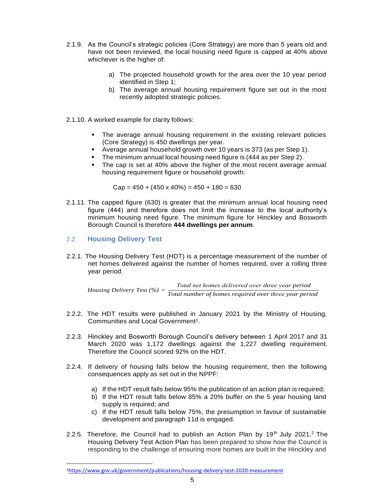- 2.1.9. As the Council's strategic policies (Core Strategy) are more than 5 years old and have not been reviewed, the local housing need figure is capped at 40% above whichever is the higher of:
	- a) The projected household growth for the area over the 10 year period identified in Step 1;
	- b) The average annual housing requirement figure set out in the most recently adopted strategic policies.
- 2.1.10. A worked example for clarity follows:
	- **The average annual housing requirement in the existing relevant policies** (Core Strategy) is 450 dwellings per year.
	- Average annual household growth over 10 years is 373 (as per Step 1).
	- The minimum annual local housing need figure is (444 as per Step 2).<br>The cap is set at 40% above the higher of the most recent average
	- The cap is set at 40% above the higher of the most recent average annual housing requirement figure or household growth:

 $Cap = 450 + (450 \times 40\%) = 450 + 180 = 630$ 

- 2.1.11. The capped figure (630) is greater that the minimum annual local housing need figure (444) and therefore does not limit the increase to the local authority's minimum housing need figure. The minimum figure for Hinckley and Bosworth Borough Council is therefore **444 dwellings per annum**.
- <span id="page-5-0"></span>2.2. **Housing Delivery Test**
- 2.2.1. The Housing Delivery Test (HDT) is a percentage measurement of the number of net homes delivered against the number of homes required, over a rolling three year period.

*Housing Delivery Test* (%) =  $\frac{Total net homes delivered over three year period}{T.}$ *Total number of ℎomes required over tℎree year period*

- 2.2.2. The HDT results were published in January 2021 by the Ministry of Housing, Communities and Local Government<sup>1</sup>.
- 2.2.3. Hinckley and Bosworth Borough Council's delivery between 1 April 2017 and 31 March 2020 was 1,172 dwellings against the 1,227 dwelling requirement. Therefore the Council scored 92% on the HDT.
- 2.2.4. If delivery of housing falls below the housing requirement, then the following consequences apply as set out in the NPPF:
	- a) If the HDT result falls below 95% the publication of an action plan is required;
	- b) If the HDT result falls below 85% a 20% buffer on the 5 year housing land supply is required; and
	- c) If the HDT result falls below 75%, the presumption in favour of sustainable development and paragraph 11d is engaged.
- 2.2.5. Therefore, the Council had to publish an Action Plan by 19<sup>th</sup> July 2021.<sup>2</sup> The Housing Delivery Test Action Plan has been prepared to show how the Council is responding to the challenge of ensuring more homes are built in the Hinckley and

<sup>1</sup>https:/[/www.gov.uk/government/publications/housing-delivery-test-2020-measurement](http://www.gov.uk/government/publications/housing-delivery-test-2020-measurement)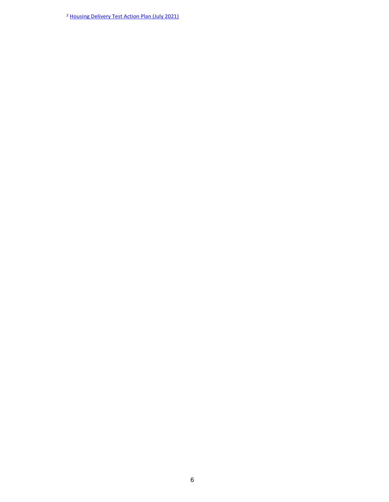<sup>2</sup> Housing Delivery Test Action Plan (July 2021)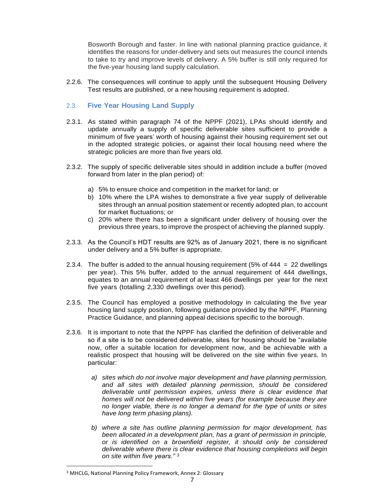Bosworth Borough and faster. In line with national planning practice guidance, it identifies the reasons for under-delivery and sets out measures the council intends to take to try and improve levels of delivery. A 5% buffer is still only required for the five-year housing land supply calculation.

2.2.6. The consequences will continue to apply until the subsequent Housing Delivery Test results are published, or a new housing requirement is adopted.

#### <span id="page-7-0"></span>2.3. **Five Year Housing Land Supply**

- 2.3.1. As stated within paragraph 74 of the NPPF (2021), LPAs should identify and update annually a supply of specific deliverable sites sufficient to provide a minimum of five years' worth of housing against their housing requirement set out in the adopted strategic policies, or against their local housing need where the strategic policies are more than five years old.
- 2.3.2. The supply of specific deliverable sites should in addition include a buffer (moved forward from later in the plan period) of:
	- a) 5% to ensure choice and competition in the market for land; or
	- b) 10% where the LPA wishes to demonstrate a five year supply of deliverable sites through an annual position statement or recently adopted plan, to account for market fluctuations; or
	- c) 20% where there has been a significant under delivery of housing over the previous three years, to improve the prospect of achieving the planned supply.
- 2.3.3. As the Council's HDT results are 92% as of January 2021, there is no significant under delivery and a 5% buffer is appropriate.
- 2.3.4. The buffer is added to the annual housing requirement (5% of  $444 = 22$  dwellings per year). This 5% buffer, added to the annual requirement of 444 dwellings, equates to an annual requirement of at least 466 dwellings per year for the next five years (totalling 2,330 dwellings over this period).
- 2.3.5. The Council has employed a positive methodology in calculating the five year housing land supply position, following guidance provided by the NPPF, Planning Practice Guidance, and planning appeal decisions specific to the borough.
- 2.3.6. It is important to note that the NPPF has clarified the definition of deliverable and so if a site is to be considered deliverable, sites for housing should be "available now, offer a suitable location for development now, and be achievable with a realistic prospect that housing will be delivered on the site within five years. In particular:
	- *a) sites which do not involve major development and have planning permission, and all sites with detailed planning permission, should be considered deliverable until permission expires, unless there is clear evidence that homes will not be delivered within five years (for example because they are no longer viable, there is no longer a demand for the type of units or sites have long term phasing plans).*
	- *b) where a site has outline planning permission for major development, has been allocated in a development plan, has a grant of permission in principle, or is identified on a brownfield register, it should only be considered deliverable where there is clear evidence that housing completions will begin on site within five years." <sup>3</sup>*

<sup>3</sup> MHCLG, National Planning Policy Framework, Annex 2: Glossary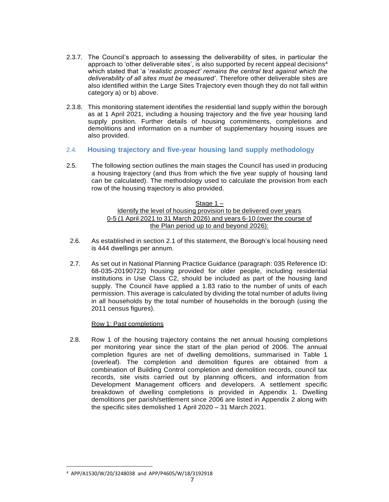- 2.3.7. The Council's approach to assessing the deliverability of sites, in particular the approach to 'other deliverable sites', is also supported by recent appeal decisions $4$ which stated that 'a '*realistic prospect' remains the central test against which the deliverability of all sites must be measured'*. Therefore other deliverable sites are also identified within the Large Sites Trajectory even though they do not fall within category a) or b) above.
- 2.3.8. This monitoring statement identifies the residential land supply within the borough as at 1 April 2021, including a housing trajectory and the five year housing land supply position. Further details of housing commitments, completions and demolitions and information on a number of supplementary housing issues are also provided.
- <span id="page-8-0"></span>2.4. **Housing trajectory and five-year housing land supply methodology**
- 2.5. The following section outlines the main stages the Council has used in producing a housing trajectory (and thus from which the five year supply of housing land can be calculated). The methodology used to calculate the provision from each row of the housing trajectory is also provided.

#### Stage 1 – Identify the level of housing provision to be delivered over years 0-5 (1 April 2021 to 31 March 2026) and years 6-10 (over the course of the Plan period up to and beyond 2026):

- 2.6. As established in section 2.1 of this statement, the Borough's local housing need is 444 dwellings per annum.
- 2.7. As set out in National Planning Practice Guidance (paragraph: 035 Reference ID: 68-035-20190722) housing provided for older people, including residential institutions in Use Class C2, should be included as part of the housing land supply. The Council have applied a 1.83 ratio to the number of units of each permission. This average is calculated by dividing the total number of adults living in all households by the total number of households in the borough (using the 2011 census figures).

#### Row 1: Past completions

2.8. Row 1 of the housing trajectory contains the net annual housing completions per monitoring year since the start of the plan period of 2006. The annual completion figures are net of dwelling demolitions, summarised in Table 1 (overleaf). The completion and demolition figures are obtained from a combination of Building Control completion and demolition records, council tax records, site visits carried out by planning officers, and information from Development Management officers and developers. A settlement specific breakdown of dwelling completions is provided in Appendix 1. Dwelling demolitions per parish/settlement since 2006 are listed in Appendix 2 along with the specific sites demolished 1 April 2020 – 31 March 2021.

<sup>4</sup> APP/A1530/W/20/3248038 and APP/P4605/W/18/3192918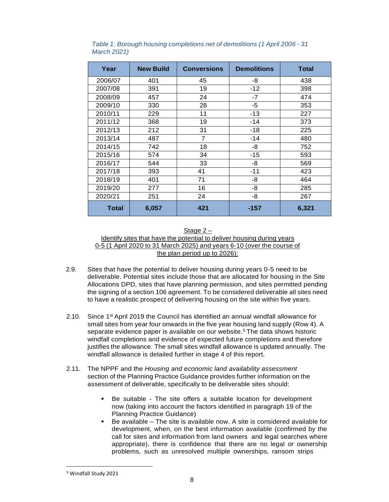| Year    | <b>New Build</b> | <b>Conversions</b> | <b>Demolitions</b> | <b>Total</b> |
|---------|------------------|--------------------|--------------------|--------------|
| 2006/07 | 401              | 45                 | -8                 | 438          |
| 2007/08 | 391              | 19                 | $-12$              | 398          |
| 2008/09 | 457              | 24                 | $-7$               | 474          |
| 2009/10 | 330              | 28                 | $-5$               | 353          |
| 2010/11 | 229              | 11                 | $-13$              | 227          |
| 2011/12 | 368              | 19                 | $-14$              | 373          |
| 2012/13 | 212              | 31                 | $-18$              | 225          |
| 2013/14 | 487              | 7                  | $-14$              | 480          |
| 2014/15 | 742              | 18                 | -8                 | 752          |
| 2015/16 | 574              | 34                 | $-15$              | 593          |
| 2016/17 | 544              | 33                 | -8                 | 569          |
| 2017/18 | 393              | 41                 | $-11$              | 423          |
| 2018/19 | 401              | 71                 | -8                 | 464          |
| 2019/20 | 277              | 16                 | -8                 | 285          |
| 2020/21 | 251              | 24                 | -8                 | 267          |
| Total   | 6,057            | 421                | $-157$             | 6,321        |

*Table 1: Borough housing completions net of demolitions (1 April 2006 - 31 March 2021)*

#### Stage 2 – Identify sites that have the potential to deliver housing during years 0-5 (1 April 2020 to 31 March 2025) and years 6-10 (over the course of the plan period up to 2026):

- 2.9. Sites that have the potential to deliver housing during years 0-5 need to be deliverable. Potential sites include those that are allocated for housing in the Site Allocations DPD, sites that have planning permission, and sites permitted pending the signing of a section 106 agreement. To be considered deliverable all sites need to have a realistic prospect of delivering housing on the site within five years.
- 2.10. Since  $1^{st}$  April 2019 the Council has identified an annual windfall allowance for small sites from year four onwards in the five year housing land supply (Row 4). A separate evidence paper is available on our website.<sup>5</sup> The data shows historic windfall completions and evidence of expected future completions and therefore justifies the allowance. The small sites windfall allowance is updated annually. The windfall allowance is detailed further in stage 4 of this report.
- 2.11. The NPPF and the *Housing and economic land availability assessment* section of the Planning Practice Guidance provides further information on the assessment of deliverable, specifically to be deliverable sites should:
	- Be suitable The site offers a suitable location for development now (taking into account the factors identified in paragraph 19 of the Planning Practice Guidance)
	- Be available The site is available now. A site is considered available for development, when, on the best information available (confirmed by the call for sites and information from land owners and legal searches where appropriate), there is confidence that there are no legal or ownership problems, such as unresolved multiple ownerships, ransom strips

<sup>5</sup> Windfall Study 2021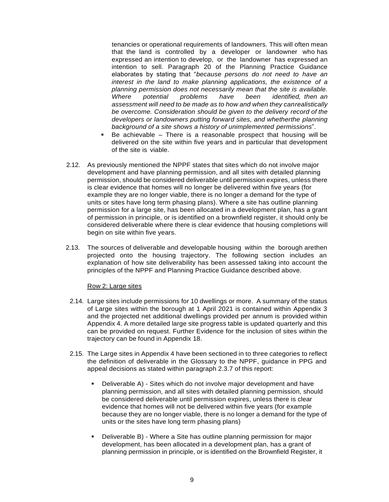tenancies or operational requirements of landowners. This will often mean that the land is controlled by a developer or landowner who has expressed an intention to develop, or the landowner has expressed an intention to sell. Paragraph 20 of the Planning Practice Guidance elaborates by stating that "*because persons do not need to have an interest in the land to make planning applications, the existence of a planning permission does not necessarily mean that the site is available. Where potential problems have been identified, then an assessment will need to be made as to how and when they canrealistically be overcome. Consideration should be given to the delivery record of the developers or landowners putting forward sites, and whetherthe planning background of a site shows a history of unimplemented permissions*".

- Be achievable There is a reasonable prospect that housing will be delivered on the site within five years and in particular that development of the site is viable.
- 2.12. As previously mentioned the NPPF states that sites which do not involve major development and have planning permission, and all sites with detailed planning permission, should be considered deliverable until permission expires, unless there is clear evidence that homes will no longer be delivered within five years (for example they are no longer viable, there is no longer a demand for the type of units or sites have long term phasing plans). Where a site has outline planning permission for a large site, has been allocated in a development plan, has a grant of permission in principle, or is identified on a brownfield register, it should only be considered deliverable where there is clear evidence that housing completions will begin on site within five years.
- 2.13. The sources of deliverable and developable housing within the borough arethen projected onto the housing trajectory. The following section includes an explanation of how site deliverability has been assessed taking into account the principles of the NPPF and Planning Practice Guidance described above.

#### Row 2: Large sites

- 2.14. Large sites include permissions for 10 dwellings or more. A summary of the status of Large sites within the borough at 1 April 2021 is contained within Appendix 3 and the projected net additional dwellings provided per annum is provided within Appendix 4. A more detailed large site progress table is updated quarterly and this can be provided on request. Further Evidence for the inclusion of sites within the trajectory can be found in Appendix 18.
- 2.15. The Large sites in Appendix 4 have been sectioned in to three categories to reflect the definition of deliverable in the Glossary to the NPPF, guidance in PPG and appeal decisions as stated within paragraph 2.3.7 of this report:
	- Deliverable A) Sites which do not involve major development and have planning permission, and all sites with detailed planning permission, should be considered deliverable until permission expires, unless there is clear evidence that homes will not be delivered within five years (for example because they are no longer viable, there is no longer a demand for the type of units or the sites have long term phasing plans)
	- Deliverable B) Where a Site has outline planning permission for major development, has been allocated in a development plan, has a grant of planning permission in principle, or is identified on the Brownfield Register, it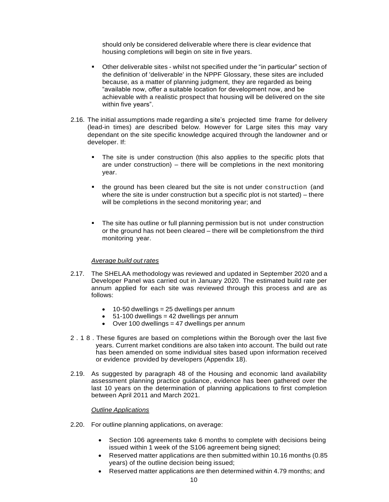should only be considered deliverable where there is clear evidence that housing completions will begin on site in five years.

- Other deliverable sites whilst not specified under the "in particular" section of the definition of 'deliverable' in the NPPF Glossary, these sites are included because, as a matter of planning judgment, they are regarded as being "available now, offer a suitable location for development now, and be achievable with a realistic prospect that housing will be delivered on the site within five years".
- 2.16. The initial assumptions made regarding a site's projected time frame for delivery (lead-in times) are described below. However for Large sites this may vary dependant on the site specific knowledge acquired through the landowner and or developer. If:
	- The site is under construction (this also applies to the specific plots that are under construction) – there will be completions in the next monitoring year.
	- the ground has been cleared but the site is not under construction (and where the site is under construction but a specific plot is not started) – there will be completions in the second monitoring year; and
	- The site has outline or full planning permission but is not under construction or the ground has not been cleared – there will be completionsfrom the third monitoring year.

#### *Average build out rates*

- 2.17. The SHELAA methodology was reviewed and updated in September 2020 and a Developer Panel was carried out in January 2020. The estimated build rate per annum applied for each site was reviewed through this process and are as follows:
	- $\bullet$  10-50 dwellings = 25 dwellings per annum
	- $\bullet$  51-100 dwellings = 42 dwellings per annum
	- $\bullet$  Over 100 dwellings = 47 dwellings per annum
- 2 . 1 8 . These figures are based on completions within the Borough over the last five years. Current market conditions are also taken into account. The build out rate has been amended on some individual sites based upon information received or evidence provided by developers (Appendix 18).
- 2.19. As suggested by paragraph 48 of the Housing and economic land availability assessment planning practice guidance, evidence has been gathered over the last 10 years on the determination of planning applications to first completion between April 2011 and March 2021.

#### *Outline Applications*

- 2.20. For outline planning applications, on average:
	- Section 106 agreements take 6 months to complete with decisions being issued within 1 week of the S106 agreement being signed;
	- Reserved matter applications are then submitted within 10.16 months (0.85 years) of the outline decision being issued;
	- Reserved matter applications are then determined within 4.79 months; and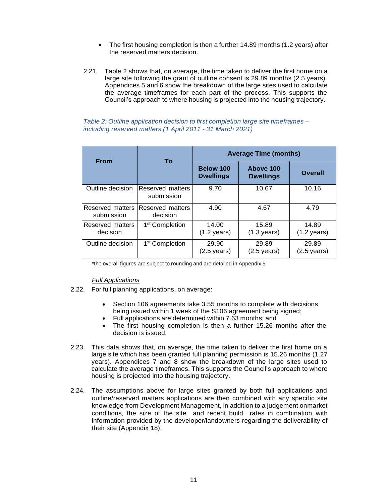- The first housing completion is then a further 14.89 months (1.2 years) after the reserved matters decision.
- 2.21. Table 2 shows that, on average, the time taken to deliver the first home on a large site following the grant of outline consent is 29.89 months (2.5 years). Appendices 5 and 6 show the breakdown of the large sites used to calculate the average timeframes for each part of the process. This supports the Council's approach to where housing is projected into the housing trajectory.

#### *Table 2: Outline application decision to first completion large site timeframes – including reserved matters (1 April 2011 - 31 March 2021)*

| <b>From</b>                    | To                             | <b>Average Time (months)</b>    |                                 |                                 |  |
|--------------------------------|--------------------------------|---------------------------------|---------------------------------|---------------------------------|--|
|                                |                                | Below 100<br><b>Dwellings</b>   | Above 100<br><b>Dwellings</b>   | Overall                         |  |
| Outline decision               | Reserved matters<br>submission | 9.70                            | 10.67                           | 10.16                           |  |
| Reserved matters<br>submission | Reserved matters<br>decision   | 4.90                            | 4.67                            | 4.79                            |  |
| Reserved matters<br>decision   | 1 <sup>st</sup> Completion     | 14.00<br>$(1.2 \text{ years})$  | 15.89<br>$(1.3 \text{ years})$  | 14.89<br>$(1.2 \text{ years})$  |  |
| Outline decision               | 1 <sup>st</sup> Completion     | 29.90<br>$(2.5 \,\text{years})$ | 29.89<br>$(2.5 \,\text{years})$ | 29.89<br>$(2.5 \,\text{years})$ |  |

\*the overall figures are subject to rounding and are detailed in Appendix 5

#### *Full Applications*

- 2.22. For full planning applications, on average:
	- Section 106 agreements take 3.55 months to complete with decisions being issued within 1 week of the S106 agreement being signed;
	- Full applications are determined within 7.63 months; and
	- The first housing completion is then a further 15.26 months after the decision is issued.
- 2.23. This data shows that, on average, the time taken to deliver the first home on a large site which has been granted full planning permission is 15.26 months (1.27 years). Appendices 7 and 8 show the breakdown of the large sites used to calculate the average timeframes. This supports the Council's approach to where housing is projected into the housing trajectory.
- 2.24. The assumptions above for large sites granted by both full applications and outline/reserved matters applications are then combined with any specific site knowledge from Development Management, in addition to a judgement onmarket conditions, the size of the site and recent build rates in combination with information provided by the developer/landowners regarding the deliverability of their site (Appendix 18).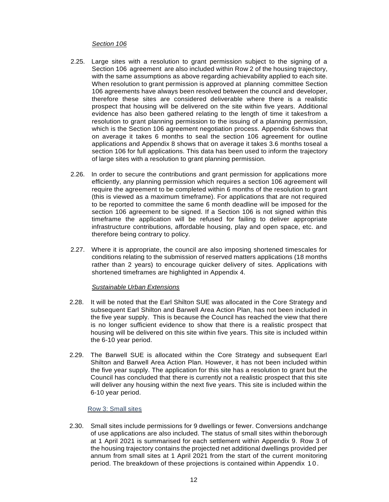#### *Section 106*

- 2.25. Large sites with a resolution to grant permission subject to the signing of a Section 106 agreement are also included within Row 2 of the housing trajectory, with the same assumptions as above regarding achievability applied to each site. When resolution to grant permission is approved at planning committee Section 106 agreements have always been resolved between the council and developer, therefore these sites are considered deliverable where there is a realistic prospect that housing will be delivered on the site within five years. Additional evidence has also been gathered relating to the length of time it takesfrom a resolution to grant planning permission to the issuing of a planning permission, which is the Section 106 agreement negotiation process. Appendix 6shows that on average it takes 6 months to seal the section 106 agreement for outline applications and Appendix 8 shows that on average it takes 3.6 months toseal a section 106 for full applications. This data has been used to inform the trajectory of large sites with a resolution to grant planning permission.
- 2.26. In order to secure the contributions and grant permission for applications more efficiently, any planning permission which requires a section 106 agreement will require the agreement to be completed within 6 months of the resolution to grant (this is viewed as a maximum timeframe). For applications that are not required to be reported to committee the same 6 month deadline will be imposed for the section 106 agreement to be signed. If a Section 106 is not signed within this timeframe the application will be refused for failing to deliver appropriate infrastructure contributions, affordable housing, play and open space, etc. and therefore being contrary to policy.
- 2.27. Where it is appropriate, the council are also imposing shortened timescales for conditions relating to the submission of reserved matters applications (18 months rather than 2 years) to encourage quicker delivery of sites. Applications with shortened timeframes are highlighted in Appendix 4.

#### *Sustainable Urban Extensions*

- 2.28. It will be noted that the Earl Shilton SUE was allocated in the Core Strategy and subsequent Earl Shilton and Barwell Area Action Plan, has not been included in the five year supply. This is because the Council has reached the view that there is no longer sufficient evidence to show that there is a realistic prospect that housing will be delivered on this site within five years. This site is included within the 6-10 year period.
- 2.29. The Barwell SUE is allocated within the Core Strategy and subsequent Earl Shilton and Barwell Area Action Plan. However, it has not been included within the five year supply. The application for this site has a resolution to grant but the Council has concluded that there is currently not a realistic prospect that this site will deliver any housing within the next five years. This site is included within the 6-10 year period.

#### Row 3: Small sites

2.30. Small sites include permissions for 9 dwellings or fewer. Conversions andchange of use applications are also included. The status of small sites within theborough at 1 April 2021 is summarised for each settlement within Appendix 9. Row 3 of the housing trajectory contains the projected net additional dwellings provided per annum from small sites at 1 April 2021 from the start of the current monitoring period. The breakdown of these projections is contained within Appendix 1 0 .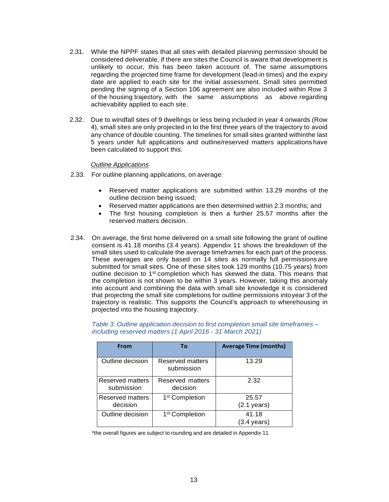- 2.31. While the NPPF states that all sites with detailed planning permission should be considered deliverable, if there are sites the Council is aware that development is unlikely to occur, this has been taken account of. The same assumptions regarding the projected time frame for development (lead-in times) and the expiry date are applied to each site for the initial assessment. Small sites permitted pending the signing of a Section 106 agreement are also included within Row 3 of the housing trajectory, with the same assumptions as above regarding achievability applied to each site.
- 2.32. Due to windfall sites of 9 dwellings or less being included in year 4 onwards (Row 4), small sites are only projected in to the first three years of the trajectory to avoid any chance of double counting. The timelines for small sites granted withinthe last 5 years under full applications and outline/reserved matters applications have been calculated to support this.

#### *Outline Applications*

- 2.33. For outline planning applications, on average:
	- Reserved matter applications are submitted within 13.29 months of the outline decision being issued;
	- Reserved matter applications are then determined within 2.3 months; and
	- The first housing completion is then a further 25.57 months after the reserved matters decision.
- 2.34. On average, the first home delivered on a small site following the grant of outline consent is 41.18 months (3.4 years). Appendix 11 shows the breakdown of the small sites used to calculate the average timeframes for each part of the process. These averages are only based on 14 sites as normally full permissions are submitted for small sites. One of these sites took 129 months (10.75 years) from outline decision to 1st completion which has skewed the data. This means that the completion is not shown to be within 3 years. However, taking this anomaly into account and combining the data with small site knowledge it is considered that projecting the small site completions for outline permissions intoyear 3 of the trajectory is realistic. This supports the Council's approach to wherehousing in projected into the housing trajectory.

| <b>From</b>                    | Τo                             | <b>Average Time (months)</b>    |
|--------------------------------|--------------------------------|---------------------------------|
| Outline decision               | Reserved matters<br>submission | 13.29                           |
| Reserved matters<br>submission | Reserved matters<br>decision   | 2.32                            |
| Reserved matters<br>decision   | 1 <sup>st</sup> Completion     | 25.57<br>$(2.1 \,\text{years})$ |
| Outline decision               | 1 <sup>st</sup> Completion     | 41.18<br>(3.4 vears)            |

*Table 3: Outline application decision to first completion small site timeframes – including reserved matters (1 April 2016 - 31 March 2021)*

\*the overall figures are subject to rounding and are detailed in Appendix 11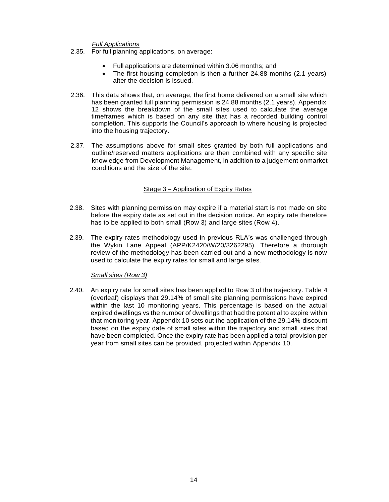#### *Full Applications*

- 2.35. For full planning applications, on average:
	- Full applications are determined within 3.06 months; and
	- The first housing completion is then a further 24.88 months (2.1 years) after the decision is issued.
- 2.36. This data shows that, on average, the first home delivered on a small site which has been granted full planning permission is 24.88 months (2.1 years). Appendix 12 shows the breakdown of the small sites used to calculate the average timeframes which is based on any site that has a recorded building control completion. This supports the Council's approach to where housing is projected into the housing trajectory.
- 2.37. The assumptions above for small sites granted by both full applications and outline/reserved matters applications are then combined with any specific site knowledge from Development Management, in addition to a judgement onmarket conditions and the size of the site.

#### Stage 3 – Application of Expiry Rates

- 2.38. Sites with planning permission may expire if a material start is not made on site before the expiry date as set out in the decision notice. An expiry rate therefore has to be applied to both small (Row 3) and large sites (Row 4).
- 2.39. The expiry rates methodology used in previous RLA's was challenged through the Wykin Lane Appeal (APP/K2420/W/20/3262295). Therefore a thorough review of the methodology has been carried out and a new methodology is now used to calculate the expiry rates for small and large sites.

#### *Small sites (Row 3)*

2.40. An expiry rate for small sites has been applied to Row 3 of the trajectory. Table 4 (overleaf) displays that 29.14% of small site planning permissions have expired within the last 10 monitoring years. This percentage is based on the actual expired dwellings vs the number of dwellings that had the potential to expire within that monitoring year. Appendix 10 sets out the application of the 29.14% discount based on the expiry date of small sites within the trajectory and small sites that have been completed. Once the expiry rate has been applied a total provision per year from small sites can be provided, projected within Appendix 10.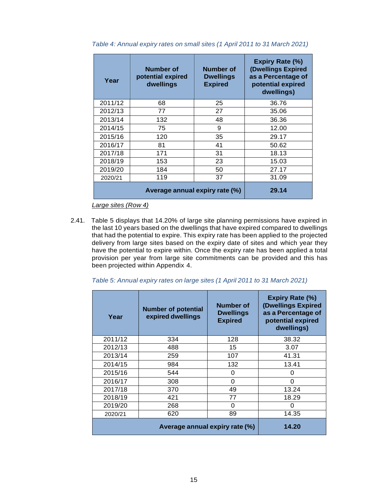| Year    | Number of<br>potential expired<br>dwellings | Number of<br><b>Dwellings</b><br><b>Expired</b> | <b>Expiry Rate (%)</b><br>(Dwellings Expired<br>as a Percentage of<br>potential expired<br>dwellings) |
|---------|---------------------------------------------|-------------------------------------------------|-------------------------------------------------------------------------------------------------------|
| 2011/12 | 68                                          | 25                                              | 36.76                                                                                                 |
| 2012/13 | 77                                          | 27                                              | 35.06                                                                                                 |
| 2013/14 | 132                                         | 48                                              | 36.36                                                                                                 |
| 2014/15 | 75                                          | 9                                               | 12.00                                                                                                 |
| 2015/16 | 120                                         | 35                                              | 29.17                                                                                                 |
| 2016/17 | 81                                          | 41                                              | 50.62                                                                                                 |
| 2017/18 | 171                                         | 31                                              | 18.13                                                                                                 |
| 2018/19 | 153                                         | 23                                              | 15.03                                                                                                 |
| 2019/20 | 184                                         | 50                                              | 27.17                                                                                                 |
| 2020/21 | 119                                         | 37                                              | 31.09                                                                                                 |
|         | Average annual expiry rate (%)              | 29.14                                           |                                                                                                       |

*Table 4: Annual expiry rates on small sites (1 April 2011 to 31 March 2021)*

*Large sites (Row 4)*

2.41. Table 5 displays that 14.20% of large site planning permissions have expired in the last 10 years based on the dwellings that have expired compared to dwellings that had the potential to expire. This expiry rate has been applied to the projected delivery from large sites based on the expiry date of sites and which year they have the potential to expire within. Once the expiry rate has been applied a total provision per year from large site commitments can be provided and this has been projected within Appendix 4.

*Table 5: Annual expiry rates on large sites (1 April 2011 to 31 March 2021)*

| Year    | <b>Number of potential</b><br>expired dwellings | Number of<br><b>Dwellings</b><br><b>Expired</b> | <b>Expiry Rate (%)</b><br>(Dwellings Expired<br>as a Percentage of<br>potential expired<br>dwellings) |
|---------|-------------------------------------------------|-------------------------------------------------|-------------------------------------------------------------------------------------------------------|
| 2011/12 | 334                                             | 128                                             | 38.32                                                                                                 |
| 2012/13 | 488                                             | 15                                              | 3.07                                                                                                  |
| 2013/14 | 259                                             | 107                                             | 41.31                                                                                                 |
| 2014/15 | 984                                             | 132                                             | 13.41                                                                                                 |
| 2015/16 | 544                                             | 0                                               | O                                                                                                     |
| 2016/17 | 308                                             | $\Omega$                                        | ∩                                                                                                     |
| 2017/18 | 370                                             | 49                                              | 13.24                                                                                                 |
| 2018/19 | 421                                             | 77                                              | 18.29                                                                                                 |
| 2019/20 | 268                                             | 0                                               | O                                                                                                     |
| 2020/21 | 620                                             | 89                                              | 14.35                                                                                                 |
|         | 14.20                                           |                                                 |                                                                                                       |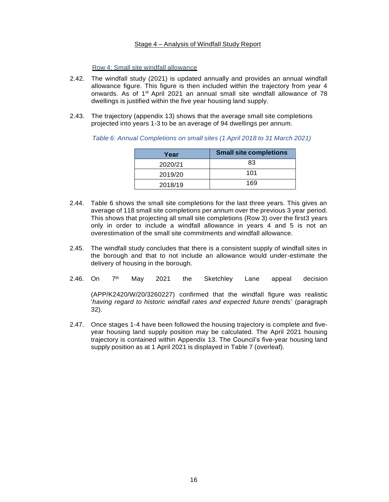#### Stage 4 – Analysis of Windfall Study Report

Row 4: Small site windfall allowance

- 2.42. The windfall study (2021) is updated annually and provides an annual windfall allowance figure. This figure is then included within the trajectory from year 4 onwards. As of 1st April 2021 an annual small site windfall allowance of 78 dwellings is justified within the five year housing land supply.
- 2.43. The trajectory (appendix 13) shows that the average small site completions projected into years 1-3 to be an average of 94 dwellings per annum.

| Year    | <b>Small site completions</b> |
|---------|-------------------------------|
| 2020/21 | 83                            |
| 2019/20 | 101                           |
| 2018/19 | 169                           |

*Table 6: Annual Completions on small sites (1 April 2018 to 31 March 2021)*

- 2.44. Table 6 shows the small site completions for the last three years. This gives an average of 118 small site completions per annum over the previous 3 year period. This shows that projecting all small site completions (Row 3) over the first3 years only in order to include a windfall allowance in years 4 and 5 is not an overestimation of the small site commitments and windfall allowance.
- 2.45. The windfall study concludes that there is a consistent supply of windfall sites in the borough and that to not include an allowance would under-estimate the delivery of housing in the borough.
- 2.46. On 7<sup>th</sup> May 2021 the Sketchley Lane appeal decision

(APP/K2420/W/20/3260227) confirmed that the windfall figure was realistic '*having regard to historic windfall rates and expected future trends*' (paragraph 32).

2.47. Once stages 1-4 have been followed the housing trajectory is complete and fiveyear housing land supply position may be calculated. The April 2021 housing trajectory is contained within Appendix 13. The Council's five-year housing land supply position as at 1 April 2021 is displayed in Table 7 (overleaf).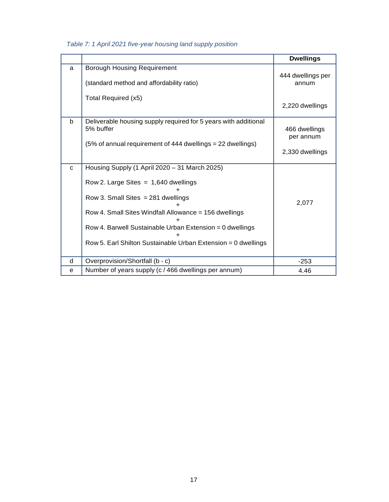|   |                                                                                                                                                                                                                                                                                                                       | <b>Dwellings</b>                              |
|---|-----------------------------------------------------------------------------------------------------------------------------------------------------------------------------------------------------------------------------------------------------------------------------------------------------------------------|-----------------------------------------------|
| a | <b>Borough Housing Requirement</b><br>(standard method and affordability ratio)<br>Total Required (x5)                                                                                                                                                                                                                | 444 dwellings per<br>annum                    |
|   |                                                                                                                                                                                                                                                                                                                       | 2,220 dwellings                               |
| b | Deliverable housing supply required for 5 years with additional<br>5% buffer<br>(5% of annual requirement of 444 dwellings = 22 dwellings)                                                                                                                                                                            | 466 dwellings<br>per annum<br>2,330 dwellings |
| C | Housing Supply (1 April 2020 - 31 March 2025)<br>Row 2. Large Sites $= 1,640$ dwellings<br>Row 3. Small Sites $= 281$ dwellings<br>Row 4. Small Sites Windfall Allowance = 156 dwellings<br>Row 4. Barwell Sustainable Urban Extension = 0 dwellings<br>Row 5. Earl Shilton Sustainable Urban Extension = 0 dwellings | 2,077                                         |
| d | Overprovision/Shortfall (b - c)                                                                                                                                                                                                                                                                                       | $-253$                                        |
| e | Number of years supply (c / 466 dwellings per annum)                                                                                                                                                                                                                                                                  | 4.46                                          |

### *Table 7: 1 April 2021 five-year housing land supply position*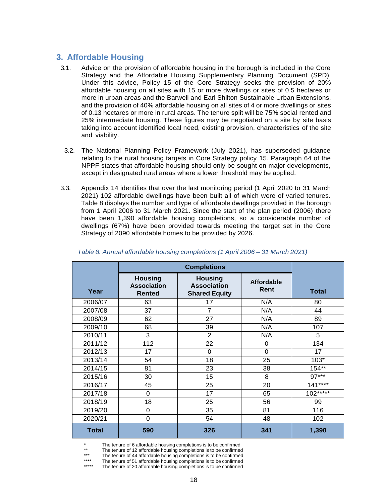## <span id="page-19-0"></span>**3. Affordable Housing**

- 3.1. Advice on the provision of affordable housing in the borough is included in the Core Strategy and the Affordable Housing Supplementary Planning Document (SPD). Under this advice, Policy 15 of the Core Strategy seeks the provision of 20% affordable housing on all sites with 15 or more dwellings or sites of 0.5 hectares or more in urban areas and the Barwell and Earl Shilton Sustainable Urban Extensions, and the provision of 40% affordable housing on all sites of 4 or more dwellings or sites of 0.13 hectares or more in rural areas. The tenure split will be 75% social rented and 25% intermediate housing. These figures may be negotiated on a site by site basis taking into account identified local need, existing provision, characteristics of the site and viability.
- 3.2. The National Planning Policy Framework (July 2021), has superseded guidance relating to the rural housing targets in Core Strategy policy 15. Paragraph 64 of the NPPF states that affordable housing should only be sought on major developments, except in designated rural areas where a lower threshold may be applied.
- 3.3. Appendix 14 identifies that over the last monitoring period (1 April 2020 to 31 March 2021) 102 affordable dwellings have been built all of which were of varied tenures. Table 8 displays the number and type of affordable dwellings provided in the borough from 1 April 2006 to 31 March 2021. Since the start of the plan period (2006) there have been 1,390 affordable housing completions, so a considerable number of dwellings (67%) have been provided towards meeting the target set in the Core Strategy of 2090 affordable homes to be provided by 2026.

| Year         | <b>Housing</b><br><b>Association</b><br><b>Rented</b> | <b>Housing</b><br><b>Association</b><br><b>Shared Equity</b> | <b>Affordable</b><br>Rent | <b>Total</b> |
|--------------|-------------------------------------------------------|--------------------------------------------------------------|---------------------------|--------------|
| 2006/07      | 63                                                    | 17                                                           | N/A                       | 80           |
| 2007/08      | 37                                                    | $\overline{7}$                                               | N/A                       | 44           |
| 2008/09      | 62                                                    | 27                                                           | N/A                       | 89           |
| 2009/10      | 68                                                    | 39                                                           | N/A                       | 107          |
| 2010/11      | 3                                                     | $\overline{2}$                                               | N/A                       | 5            |
| 2011/12      | 112                                                   | 22                                                           | 0                         | 134          |
| 2012/13      | 17                                                    | $\Omega$                                                     | $\overline{0}$            | 17           |
| 2013/14      | 54                                                    | 18                                                           | 25                        | $103*$       |
| 2014/15      | 81                                                    | 23                                                           | 38                        | 154**        |
| 2015/16      | 30                                                    | 15                                                           | 8                         | $97***$      |
| 2016/17      | 45                                                    | 25                                                           | 20                        | $141***$     |
| 2017/18      | 0                                                     | 17                                                           | 65                        | $102***$     |
| 2018/19      | 18                                                    | 25                                                           | 56                        | 99           |
| 2019/20      | 0                                                     | 35                                                           | 81                        | 116          |
| 2020/21      | 0                                                     | 54                                                           | 48                        | 102          |
| <b>Total</b> | 590                                                   | 326                                                          | 341                       | 1,390        |

#### *Table 8: Annual affordable housing completions (1 April 2006 – 31 March 2021)*

\* The tenure of 6 affordable housing completions is to be confirmed<br>\*\* The tenure of 42 offerdable housing completions is to be confirmed

\*\* The tenure of 12 affordable housing completions is to be confirmed<br>\*\*\* The tenure of 44 affordable housing completions is to be confirmed

\*\*\* The tenure of 44 affordable housing completions is to be confirmed<br>\*\*\*\* The tenure of 51 affordable housing completions is to be confirmed

\*\*\*\* The tenure of 51 affordable housing completions is to be confirmed<br>\*\*\*\*\* The tenure of 20 affordable housing completions is to be confirmed

The tenure of 20 affordable housing completions is to be confirmed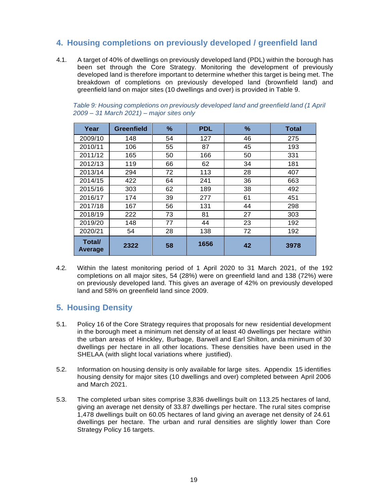## <span id="page-20-0"></span>**4. Housing completions on previously developed / greenfield land**

4.1. A target of 40% of dwellings on previously developed land (PDL) within the borough has been set through the Core Strategy. Monitoring the development of previously developed land is therefore important to determine whether this target is being met. The breakdown of completions on previously developed land (brownfield land) and greenfield land on major sites (10 dwellings and over) is provided in Table 9.

| Year              | <b>Greenfield</b> | %  | <b>PDL</b> | %  | Total |
|-------------------|-------------------|----|------------|----|-------|
| 2009/10           | 148               | 54 | 127        | 46 | 275   |
| 2010/11           | 106               | 55 | 87         | 45 | 193   |
| 2011/12           | 165               | 50 | 166        | 50 | 331   |
| 2012/13           | 119               | 66 | 62         | 34 | 181   |
| 2013/14           | 294               | 72 | 113        | 28 | 407   |
| 2014/15           | 422               | 64 | 241        | 36 | 663   |
| 2015/16           | 303               | 62 | 189        | 38 | 492   |
| 2016/17           | 174               | 39 | 277        | 61 | 451   |
| 2017/18           | 167               | 56 | 131        | 44 | 298   |
| 2018/19           | 222               | 73 | 81         | 27 | 303   |
| 2019/20           | 148               | 77 | 44         | 23 | 192   |
| 2020/21           | 54                | 28 | 138        | 72 | 192   |
| Total/<br>Average | 2322              | 58 | 1656       | 42 | 3978  |

*Table 9: Housing completions on previously developed land and greenfield land (1 April 2009 – 31 March 2021) – major sites only*

4.2. Within the latest monitoring period of 1 April 2020 to 31 March 2021, of the 192 completions on all major sites, 54 (28%) were on greenfield land and 138 (72%) were on previously developed land. This gives an average of 42% on previously developed land and 58% on greenfield land since 2009.

## <span id="page-20-1"></span>**5. Housing Density**

- 5.1. Policy 16 of the Core Strategy requires that proposals for new residential development in the borough meet a minimum net density of at least 40 dwellings per hectare within the urban areas of Hinckley, Burbage, Barwell and Earl Shilton, anda minimum of 30 dwellings per hectare in all other locations. These densities have been used in the SHELAA (with slight local variations where justified).
- 5.2. Information on housing density is only available for large sites. Appendix 15 identifies housing density for major sites (10 dwellings and over) completed between April 2006 and March 2021.
- 5.3. The completed urban sites comprise 3,836 dwellings built on 113.25 hectares of land, giving an average net density of 33.87 dwellings per hectare. The rural sites comprise 1,478 dwellings built on 60.05 hectares of land giving an average net density of 24.61 dwellings per hectare. The urban and rural densities are slightly lower than Core Strategy Policy 16 targets.